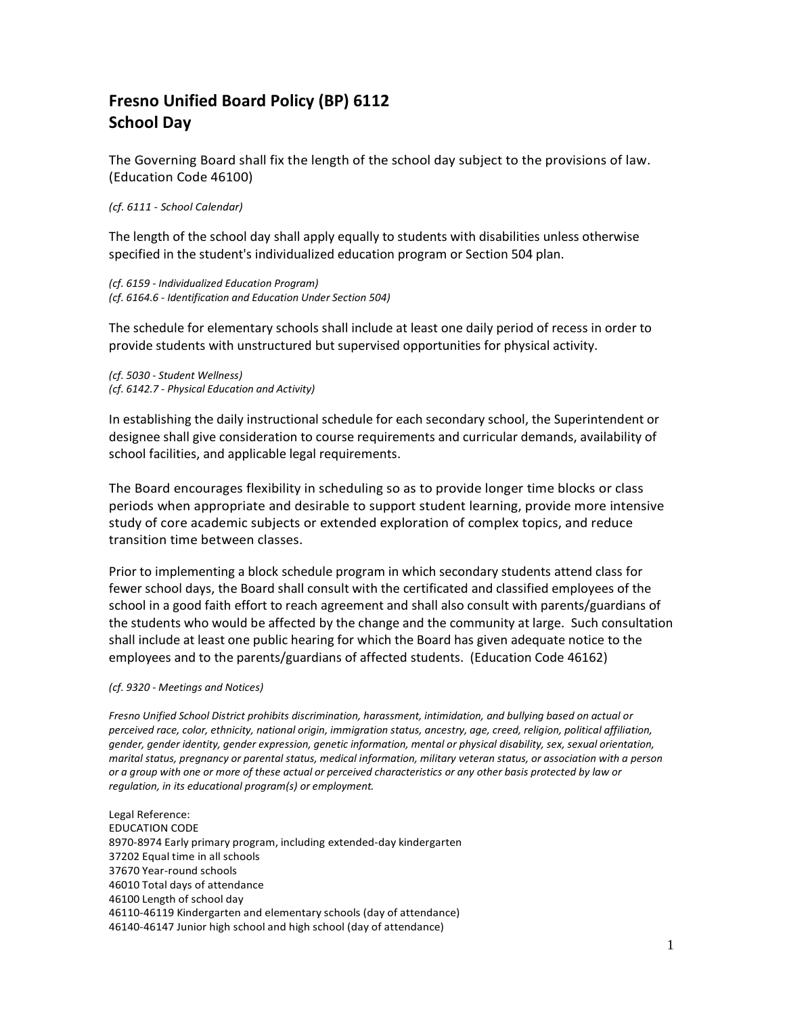## **Fresno Unified Board Policy (BP) 6112 School Day**

The Governing Board shall fix the length of the school day subject to the provisions of law. (Education Code 46100)

## *(cf. 6111 - School Calendar)*

The length of the school day shall apply equally to students with disabilities unless otherwise specified in the student's individualized education program or Section 504 plan.

*(cf. 6159 - Individualized Education Program) (cf. 6164.6 - Identification and Education Under Section 504)*

The schedule for elementary schools shall include at least one daily period of recess in order to provide students with unstructured but supervised opportunities for physical activity.

*(cf. 5030 - Student Wellness) (cf. 6142.7 - Physical Education and Activity)*

In establishing the daily instructional schedule for each secondary school, the Superintendent or designee shall give consideration to course requirements and curricular demands, availability of school facilities, and applicable legal requirements.

The Board encourages flexibility in scheduling so as to provide longer time blocks or class periods when appropriate and desirable to support student learning, provide more intensive study of core academic subjects or extended exploration of complex topics, and reduce transition time between classes.

Prior to implementing a block schedule program in which secondary students attend class for fewer school days, the Board shall consult with the certificated and classified employees of the school in a good faith effort to reach agreement and shall also consult with parents/guardians of the students who would be affected by the change and the community at large. Such consultation shall include at least one public hearing for which the Board has given adequate notice to the employees and to the parents/guardians of affected students. (Education Code 46162)

## *(cf. 9320 - Meetings and Notices)*

*Fresno Unified School District prohibits discrimination, harassment, intimidation, and bullying based on actual or perceived race, color, ethnicity, national origin, immigration status, ancestry, age, creed, religion, political affiliation, gender, gender identity, gender expression, genetic information, mental or physical disability, sex, sexual orientation, marital status, pregnancy or parental status, medical information, military veteran status, or association with a person or a group with one or more of these actual or perceived characteristics or any other basis protected by law or regulation, in its educational program(s) or employment.*

Legal Reference: EDUCATION CODE 8970-8974 Early primary program, including extended-day kindergarten 37202 Equal time in all schools 37670 Year-round schools 46010 Total days of attendance 46100 Length of school day 46110-46119 Kindergarten and elementary schools (day of attendance) 46140-46147 Junior high school and high school (day of attendance)